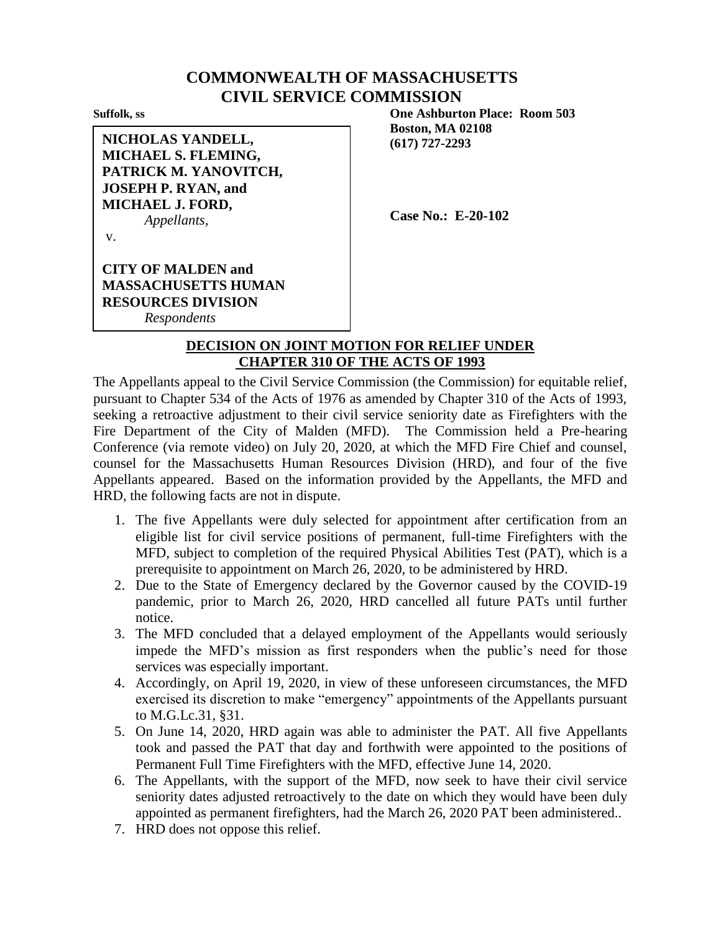## **COMMONWEALTH OF MASSACHUSETTS CIVIL SERVICE COMMISSION**

**NICHOLAS YANDELL, MICHAEL S. FLEMING, PATRICK M. YANOVITCH, JOSEPH P. RYAN, and MICHAEL J. FORD,** *Appellants,*

**Suffolk, ss One Ashburton Place: Room 503 Boston, MA 02108 (617) 727-2293**

**Case No.: E-20-102**

v.

**CITY OF MALDEN and MASSACHUSETTS HUMAN RESOURCES DIVISION** *Respondents*

## **DECISION ON JOINT MOTION FOR RELIEF UNDER CHAPTER 310 OF THE ACTS OF 1993**

The Appellants appeal to the Civil Service Commission (the Commission) for equitable relief, pursuant to Chapter 534 of the Acts of 1976 as amended by Chapter 310 of the Acts of 1993, seeking a retroactive adjustment to their civil service seniority date as Firefighters with the Fire Department of the City of Malden (MFD). The Commission held a Pre-hearing Conference (via remote video) on July 20, 2020, at which the MFD Fire Chief and counsel, counsel for the Massachusetts Human Resources Division (HRD), and four of the five Appellants appeared. Based on the information provided by the Appellants, the MFD and HRD, the following facts are not in dispute.

- 1. The five Appellants were duly selected for appointment after certification from an eligible list for civil service positions of permanent, full-time Firefighters with the MFD, subject to completion of the required Physical Abilities Test (PAT), which is a prerequisite to appointment on March 26, 2020, to be administered by HRD.
- 2. Due to the State of Emergency declared by the Governor caused by the COVID-19 pandemic, prior to March 26, 2020, HRD cancelled all future PATs until further notice.
- 3. The MFD concluded that a delayed employment of the Appellants would seriously impede the MFD's mission as first responders when the public's need for those services was especially important.
- 4. Accordingly, on April 19, 2020, in view of these unforeseen circumstances, the MFD exercised its discretion to make "emergency" appointments of the Appellants pursuant to M.G.Lc.31, §31.
- 5. On June 14, 2020, HRD again was able to administer the PAT. All five Appellants took and passed the PAT that day and forthwith were appointed to the positions of Permanent Full Time Firefighters with the MFD, effective June 14, 2020.
- 6. The Appellants, with the support of the MFD, now seek to have their civil service seniority dates adjusted retroactively to the date on which they would have been duly appointed as permanent firefighters, had the March 26, 2020 PAT been administered..
- 7. HRD does not oppose this relief.